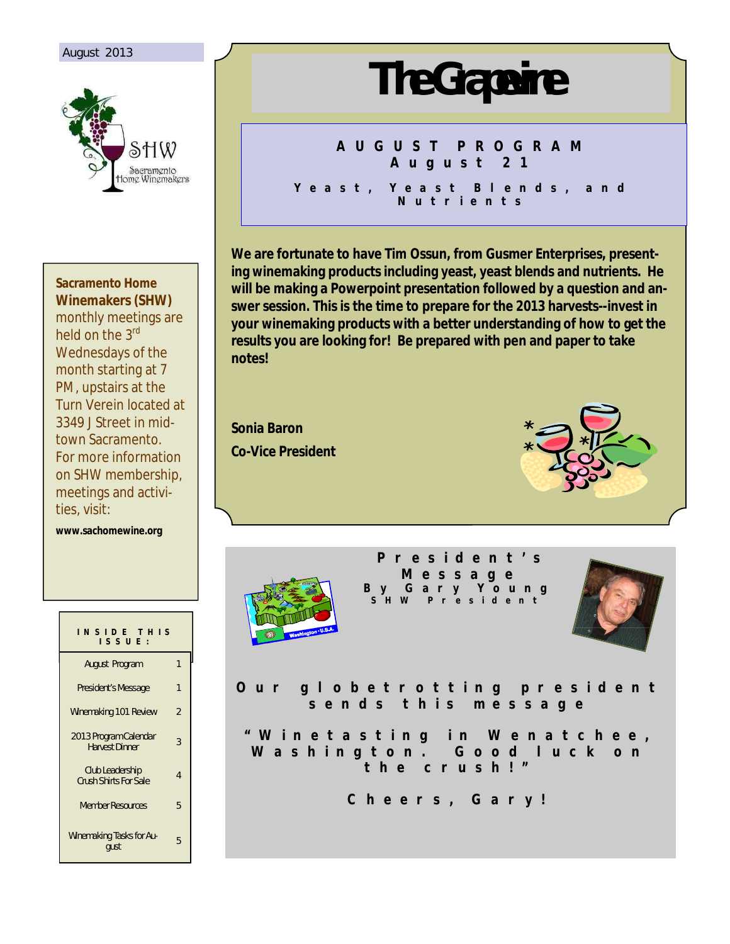### August 2013



**Sacramento Home Winemakers (SHW)** monthly meetings are held on the 3<sup>rd</sup> Wednesdays of the month starting at 7 PM, upstairs at the Turn Verein located at 3349 J Street in midtown Sacramento. For more information on SHW membership,

**www.sachomewine.org** 

ties, visit:

meetings and activi-

| INSIDE THIS<br>ISSUE:                           |                |
|-------------------------------------------------|----------------|
| August Program                                  | 1              |
| President's Message                             | 1              |
| Winemaking 101 Review                           | $\mathfrak{p}$ |
| 2013 Program Calendar<br><b>Harvest Dinner</b>  | 3              |
| Club Leadership<br><b>Crush Shirts For Sale</b> | 4              |
| <b>Member Resources</b>                         | 5              |
| Winemaking Tasks for Au-<br>qust                | 5              |

# **The Grapevine**

# **A U G U S T P R O G R A M A u g u s t 2 1**

**Y e a s t , Y e a s t B l e n d s , a n d N u t r i e n t s**

**We are fortunate to have Tim Ossun, from Gusmer Enterprises, presenting winemaking products including yeast, yeast blends and nutrients. He will be making a Powerpoint presentation followed by a question and answer session. This is the time to prepare for the 2013 harvests--invest in your winemaking products with a better understanding of how to get the results you are looking for! Be prepared with pen and paper to take notes!**

**Sonia Baron Co-Vice President**





**P r e s i d e n t ' s M e s s a g e B y G a r y Y o u n g S H W P r e s i d e n t**



O ur globetrotting president s e n d s t h i s m e s s a g e

**" W i n e t a s t i n g i n W e n a t c h e e ,**  Washington. Good luck on **t h e c r u s h ! "**

**C h e e r s , G a r y !**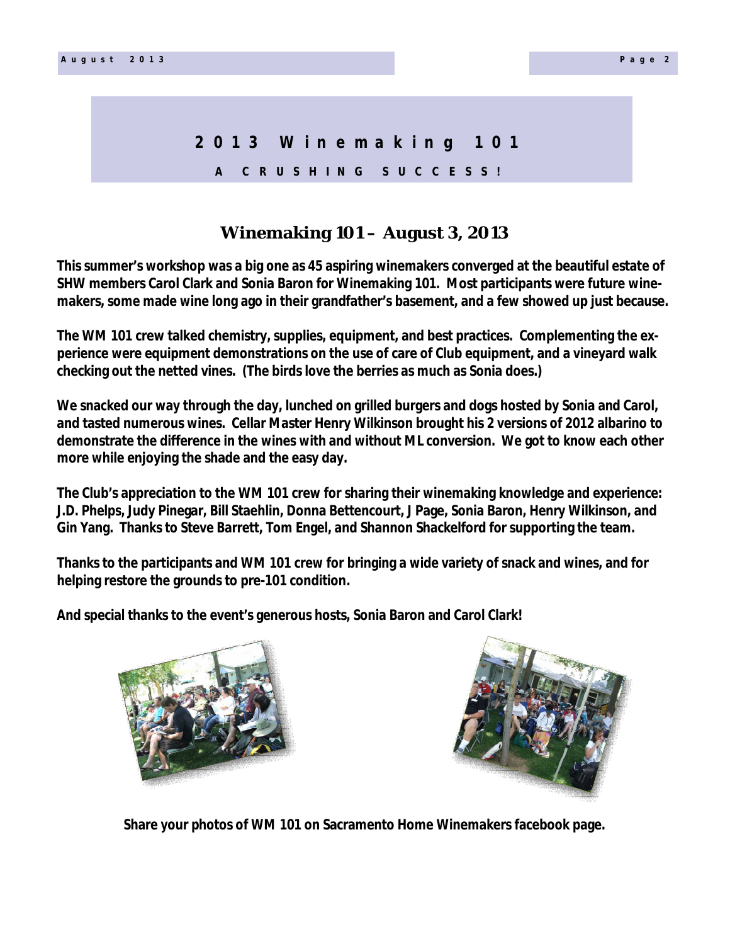# **2 0 1 3 W i n e m a k i n g 1 0 1 A C R U S H I N G S U C C E S S !**

## **Winemaking 101 – August 3, 2013**

**This summer's workshop was a big one as 45 aspiring winemakers converged at the beautiful estate of SHW members Carol Clark and Sonia Baron for Winemaking 101. Most participants were future winemakers, some made wine long ago in their grandfather's basement, and a few showed up just because.**

**The WM 101 crew talked chemistry, supplies, equipment, and best practices. Complementing the experience were equipment demonstrations on the use of care of Club equipment, and a vineyard walk checking out the netted vines. (The birds love the berries as much as Sonia does.)**

**We snacked our way through the day, lunched on grilled burgers and dogs hosted by Sonia and Carol, and tasted numerous wines. Cellar Master Henry Wilkinson brought his 2 versions of 2012 albarino to demonstrate the difference in the wines** *with* **and** *without* **ML conversion. We got to know each other more while enjoying the shade and the easy day.**

**The Club's appreciation to the WM 101 crew for sharing their winemaking knowledge and experience: J.D. Phelps, Judy Pinegar, Bill Staehlin, Donna Bettencourt, J Page, Sonia Baron, Henry Wilkinson, and Gin Yang. Thanks to Steve Barrett, Tom Engel, and Shannon Shackelford for supporting the team.**

**Thanks to the participants and WM 101 crew for bringing a wide variety of snack and wines, and for helping restore the grounds to pre-101 condition.**

**And special thanks to the event's generous hosts, Sonia Baron and Carol Clark!**





**Share your photos of WM 101 on Sacramento Home Winemakers facebook page.**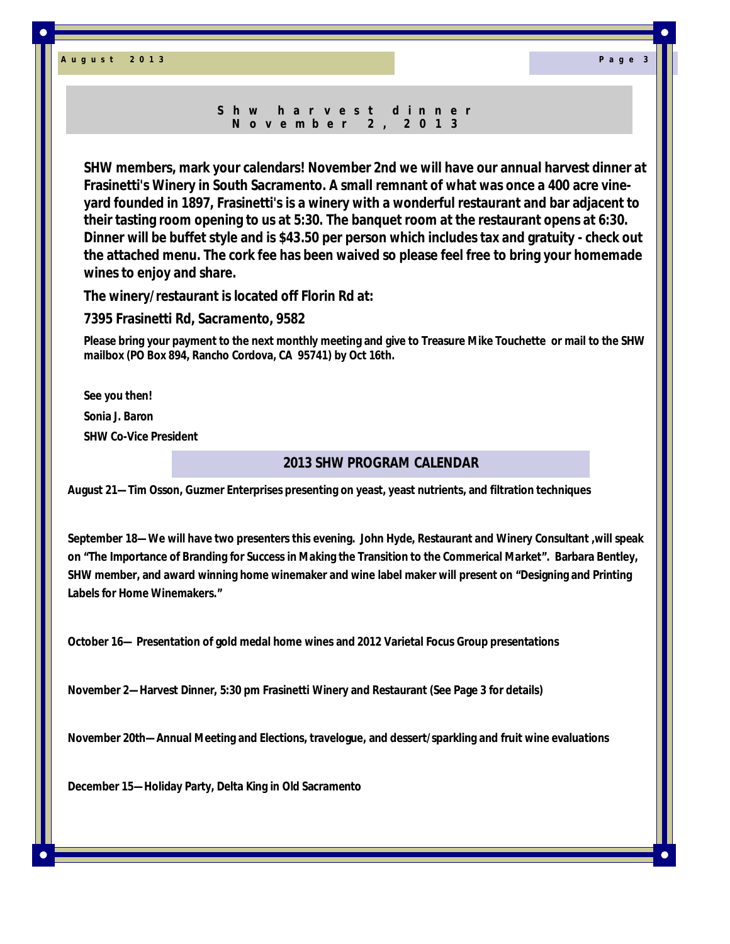**A u g u s t 2 0 1 3 P a g e 3**

#### **S h w h a r v e s t d i n n e r N o v e m b e r 2 , 2 0 1 3**

**SHW members, mark your calendars! November 2nd we will have our annual harvest dinner at Frasinetti's Winery in South Sacramento. A small remnant of what was once a 400 acre vineyard founded in 1897, Frasinetti's is a winery with a wonderful restaurant and bar adjacent to their tasting room opening to us at 5:30. The banquet room at the restaurant opens at 6:30. Dinner will be buffet style and is \$43.50 per person which includes tax and gratuity - check out the attached menu. The cork fee has been waived so please feel free to bring your homemade wines to enjoy and share.**

**The winery/restaurant is located off Florin Rd at:**

**7395 Frasinetti Rd, Sacramento, 9582**

**Please bring your payment to the next monthly meeting and give to Treasure Mike Touchette or mail to the SHW mailbox (PO Box 894, Rancho Cordova, CA 95741) by Oct 16th.** 

**See you then! Sonia J. Baron SHW Co-Vice President**

### **2013 SHW PROGRAM CALENDAR**

**August 21—Tim Osson, Guzmer Enterprises presenting on yeast, yeast nutrients, and filtration techniques**

**September 18—We will have two presenters this evening. John Hyde, Restaurant and Winery Consultant ,will speak on "The Importance of Branding for Success in Making the Transition to the Commerical Market". Barbara Bentley, SHW member, and award winning home winemaker and wine label maker will present on "Designing and Printing Labels for Home Winemakers."**

**October 16— Presentation of gold medal home wines and 2012 Varietal Focus Group presentations**

**November 2—Harvest Dinner, 5:30 pm Frasinetti Winery and Restaurant (See Page 3 for details)**

**November 20th—Annual Meeting and Elections, travelogue, and dessert/sparkling and fruit wine evaluations**

**December 15—Holiday Party, Delta King in Old Sacramento**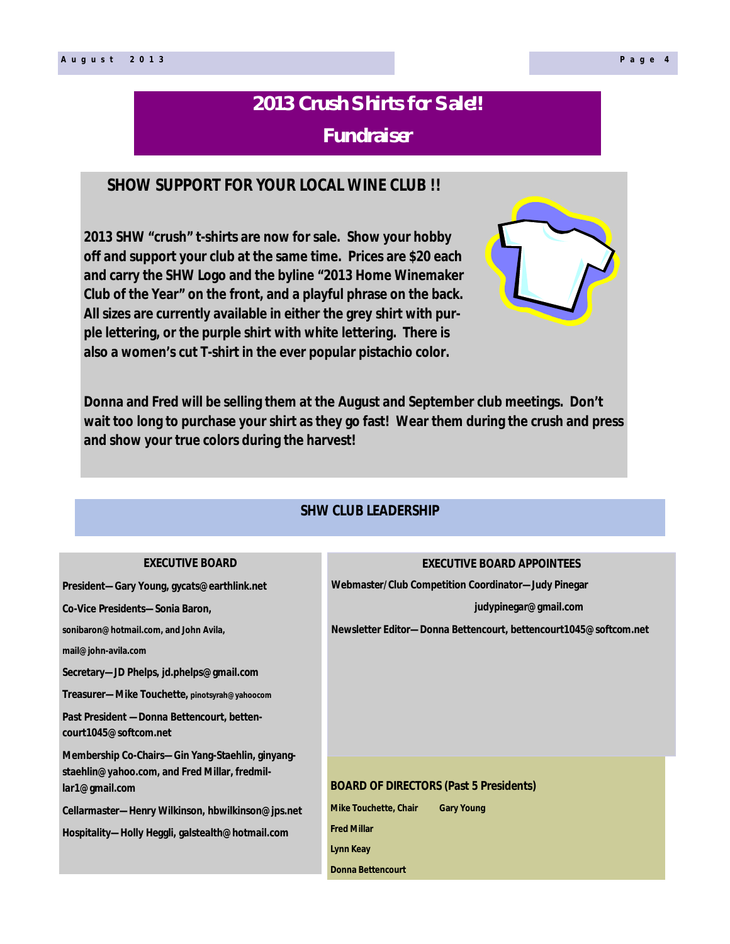# **2013 Crush Shirts for Sale!! Fundraiser**

### **SHOW SUPPORT FOR YOUR LOCAL WINE CLUB !!**

**2013 SHW "crush" t-shirts are now for sale. Show your hobby off and support your club at the same time. Prices are \$20 each and carry the SHW Logo and the byline "2013 Home Winemaker Club of the Year" on the front, and a playful phrase on the back. All sizes are currently available in either the grey shirt with purple lettering, or the purple shirt with white lettering. There is also a women's cut T-shirt in the ever popular pistachio color.**

**EVECUTIVE BOARD** 

**Donna and Fred will be selling them at the August and September club meetings. Don't wait too long to purchase your shirt as they go fast! Wear them during the crush and press and show your true colors during the harvest!**

### **SHW CLUB LEADERSHIP**

**EXECUTIVE BOARD APPOINTEES**

| LALVU IIVL DUAND                                                    | EAEUU I IVE BUARD APPUINTEES                                      |
|---------------------------------------------------------------------|-------------------------------------------------------------------|
| President—Gary Young, gycats@earthlink.net                          | Webmaster/Club Competition Coordinator-Judy Pinegar               |
| Co-Vice Presidents-Sonia Baron,                                     | judypinegar@gmail.com                                             |
| sonibaron@hotmail.com, and John Avila,                              | Newsletter Editor-Donna Bettencourt, bettencourt 1045@softcom.net |
| mail@john-avila.com                                                 |                                                                   |
| Secretary—JD Phelps, jd.phelps@gmail.com                            |                                                                   |
| Treasurer-Mike Touchette, pinotsyrah@yahoocom                       |                                                                   |
| Past President —Donna Bettencourt, betten-<br>court1045@softcom.net |                                                                   |
| Membership Co-Chairs-Gin Yang-Staehlin, ginyang-                    |                                                                   |
| staehlin@yahoo.com, and Fred Millar, fredmil-<br>lar1@gmail.com     | <b>BOARD OF DIRECTORS (Past 5 Presidents)</b>                     |
| Cellarmaster—Henry Wilkinson, hbwilkinson@jps.net                   | <b>Mike Touchette, Chair</b><br><b>Gary Young</b>                 |
| Hospitality—Holly Heggli, galstealth@hotmail.com                    | <b>Fred Millar</b>                                                |
|                                                                     | Lynn Keay                                                         |
|                                                                     | <b>Donna Bettencourt</b>                                          |